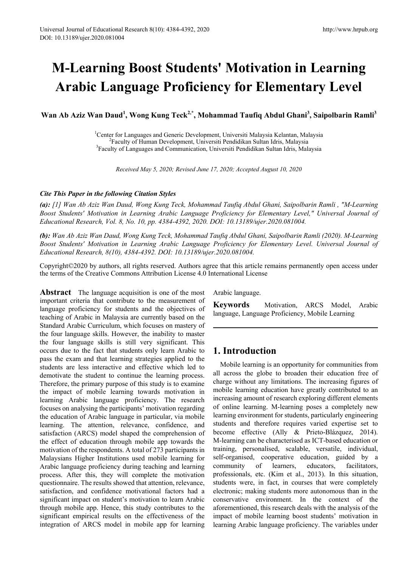# **M-Learning Boost Students' Motivation in Learning Arabic Language Proficiency for Elementary Level**

**Wan Ab Aziz Wan Daud<sup>1</sup> , Wong Kung Teck2,\*, Mohammad Taufiq Abdul Ghani3 , Saipolbarin Ramli<sup>3</sup>**

<sup>1</sup> Center for Languages and Generic Development, Universiti Malaysia Kelantan, Malaysia<br><sup>2</sup> Eaculty of Human Development, Universiti Pendidikan Sultan Idris, Malaysia Faculty of Human Development, Universiti Pendidikan Sultan Idris, Malaysia <sup>3</sup> Faculty of Languages and Communication, Universiti Pendidikan Sultan Idris, Malaysia

*Received May 5, 2020; Revised June 17, 2020; Accepted August 10, 2020*

#### *Cite This Paper in the following Citation Styles*

*(a): [1] Wan Ab Aziz Wan Daud, Wong Kung Teck, Mohammad Taufiq Abdul Ghani, Saipolbarin Ramli , "M-Learning Boost Students' Motivation in Learning Arabic Language Proficiency for Elementary Level," Universal Journal of Educational Research, Vol. 8, No. 10, pp. 4384-4392, 2020. DOI: 10.13189/ujer.2020.081004.* 

*(b): Wan Ab Aziz Wan Daud, Wong Kung Teck, Mohammad Taufiq Abdul Ghani, Saipolbarin Ramli (2020). M-Learning Boost Students' Motivation in Learning Arabic Language Proficiency for Elementary Level. Universal Journal of Educational Research, 8(10), 4384-4392. DOI: 10.13189/ujer.2020.081004.* 

Copyright©2020 by authors, all rights reserved. Authors agree that this article remains permanently open access under the terms of the Creative Commons Attribution License 4.0 International License

**Abstract** The language acquisition is one of the most important criteria that contribute to the measurement of language proficiency for students and the objectives of teaching of Arabic in Malaysia are currently based on the Standard Arabic Curriculum, which focuses on mastery of the four language skills. However, the inability to master the four language skills is still very significant. This occurs due to the fact that students only learn Arabic to pass the exam and that learning strategies applied to the students are less interactive and effective which led to demotivate the student to continue the learning process. Therefore, the primary purpose of this study is to examine the impact of mobile learning towards motivation in learning Arabic language proficiency. The research focuses on analysing the participants' motivation regarding the education of Arabic language in particular, via mobile learning. The attention, relevance, confidence, and satisfaction (ARCS) model shaped the comprehension of the effect of education through mobile app towards the motivation of the respondents. A total of 273 participants in Malaysians Higher Institutions used mobile learning for Arabic language proficiency during teaching and learning process. After this, they will complete the motivation questionnaire. The results showed that attention, relevance, satisfaction, and confidence motivational factors had a significant impact on student's motivation to learn Arabic through mobile app. Hence, this study contributes to the significant empirical results on the effectiveness of the integration of ARCS model in mobile app for learning

Arabic language.

**Keywords** Motivation, ARCS Model, Arabic language, Language Proficiency, Mobile Learning

# **1. Introduction**

Mobile learning is an opportunity for communities from all across the globe to broaden their education free of charge without any limitations. The increasing figures of mobile learning education have greatly contributed to an increasing amount of research exploring different elements of online learning. M-learning poses a completely new learning environment for students, particularly engineering students and therefore requires varied expertise set to become effective (Ally & Prieto-Blázquez, 2014). M-learning can be characterised as ICT-based education or training, personalised, scalable, versatile, individual, self-organised, cooperative education, guided by a community of learners, educators, facilitators, professionals, etc. (Kim et al., 2013). In this situation, students were, in fact, in courses that were completely electronic; making students more autonomous than in the conservative environment. In the context of the aforementioned, this research deals with the analysis of the impact of mobile learning boost students' motivation in learning Arabic language proficiency. The variables under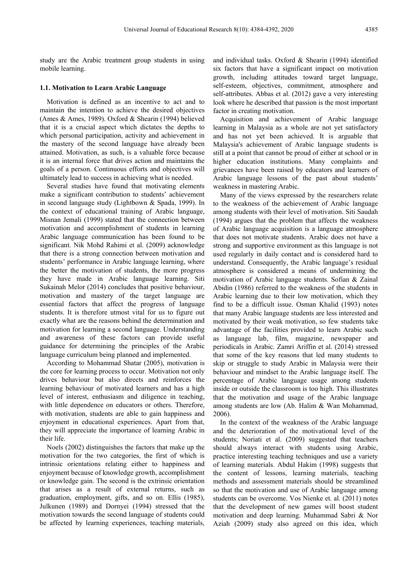study are the Arabic treatment group students in using mobile learning.

#### **1.1. Motivation to Learn Arabic Language**

Motivation is defined as an incentive to act and to maintain the intention to achieve the desired objectives (Ames & Ames, 1989). Oxford & Shearin (1994) believed that it is a crucial aspect which dictates the depths to which personal participation, activity and achievement in the mastery of the second language have already been attained. Motivation, as such, is a valuable force because it is an internal force that drives action and maintains the goals of a person. Continuous efforts and objectives will ultimately lead to success in achieving what is needed.

Several studies have found that motivating elements make a significant contribution to students' achievement in second language study (Lightbown & Spada, 1999). In the context of educational training of Arabic language, Misnan Jemali (1999) stated that the connection between motivation and accomplishment of students in learning Arabic language communication has been found to be significant. Nik Mohd Rahimi et al. (2009) acknowledge that there is a strong connection between motivation and students' performance in Arabic language learning, where the better the motivation of students, the more progress they have made in Arabic language learning. Siti Sukainah Melor (2014) concludes that positive behaviour, motivation and mastery of the target language are essential factors that affect the progress of language students. It is therefore utmost vital for us to figure out exactly what are the reasons behind the determination and motivation for learning a second language. Understanding and awareness of these factors can provide useful guidance for determining the principles of the Arabic language curriculum being planned and implemented.

According to Mohammad Shatar (2005), motivation is the core for learning process to occur. Motivation not only drives behaviour but also directs and reinforces the learning behaviour of motivated learners and has a high level of interest, enthusiasm and diligence in teaching, with little dependence on educators or others. Therefore, with motivation, students are able to gain happiness and enjoyment in educational experiences. Apart from that, they will appreciate the importance of learning Arabic in their life.

Noels (2002) distinguishes the factors that make up the motivation for the two categories, the first of which is intrinsic orientations relating either to happiness and enjoyment because of knowledge growth, accomplishment or knowledge gain. The second is the extrinsic orientation that arises as a result of external returns, such as graduation, employment, gifts, and so on. Ellis (1985), Julkunen (1989) and Dornyei (1994) stressed that the motivation towards the second language of students could be affected by learning experiences, teaching materials,

and individual tasks. Oxford & Shearin (1994) identified six factors that have a significant impact on motivation growth, including attitudes toward target language, self-esteem, objectives, commitment, atmosphere and self-attributes. Abbas et al. (2012) gave a very interesting look where he described that passion is the most important factor in creating motivation.

Acquisition and achievement of Arabic language learning in Malaysia as a whole are not yet satisfactory and has not yet been achieved. It is arguable that Malaysia's achievement of Arabic language students is still at a point that cannot be proud of either at school or in higher education institutions. Many complaints and grievances have been raised by educators and learners of Arabic language lessons of the past about students' weakness in mastering Arabic.

Many of the views expressed by the researchers relate to the weakness of the achievement of Arabic language among students with their level of motivation. Siti Saudah (1994) argues that the problem that affects the weakness of Arabic language acquisition is a language atmosphere that does not motivate students. Arabic does not have a strong and supportive environment as this language is not used regularly in daily contact and is considered hard to understand. Consequently, the Arabic language's residual atmosphere is considered a means of undermining the motivation of Arabic language students. Sofian & Zainal Abidin (1986) referred to the weakness of the students in Arabic learning due to their low motivation, which they find to be a difficult issue. Osman Khalid (1993) notes that many Arabic language students are less interested and motivated by their weak motivation, so few students take advantage of the facilities provided to learn Arabic such as language lab, film, magazine, newspaper and periodicals in Arabic. Zamri Ariffin et al. (2014) stressed that some of the key reasons that led many students to skip or struggle to study Arabic in Malaysia were their behaviour and mindset to the Arabic language itself. The percentage of Arabic language usage among students inside or outside the classroom is too high. This illustrates that the motivation and usage of the Arabic language among students are low (Ab. Halim & Wan Mohammad, 2006).

In the context of the weakness of the Arabic language and the deterioration of the motivational level of the students; Noriati et al. (2009) suggested that teachers should always interact with students using Arabic, practice interesting teaching techniques and use a variety of learning materials. Abdul Hakim (1998) suggests that the content of lessons, learning materials, teaching methods and assessment materials should be streamlined so that the motivation and use of Arabic language among students can be overcome. Vos Nienke et. al. (2011) notes that the development of new games will boost student motivation and deep learning. Muhammad Sabri & Nor Aziah (2009) study also agreed on this idea, which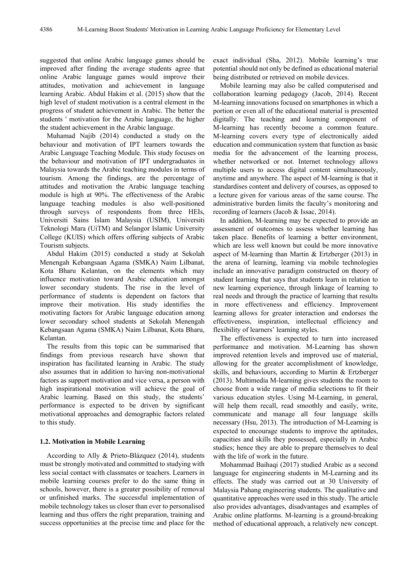suggested that online Arabic language games should be improved after finding the average students agree that online Arabic language games would improve their attitudes, motivation and achievement in language learning Arabic. Abdul Hakim et al. (2015) show that the high level of student motivation is a central element in the progress of student achievement in Arabic. The better the students ' motivation for the Arabic language, the higher the student achievement in the Arabic language.

Muhamad Najib (2014) conducted a study on the behaviour and motivation of IPT learners towards the Arabic Language Teaching Module. This study focuses on the behaviour and motivation of IPT undergraduates in Malaysia towards the Arabic teaching modules in terms of tourism. Among the findings, are the percentage of attitudes and motivation the Arabic language teaching module is high at 90%. The effectiveness of the Arabic language teaching modules is also well-positioned through surveys of respondents from three HEIs, Universiti Sains Islam Malaysia (USIM), Universiti Teknologi Mara (UiTM) and Selangor Islamic University College (KUIS) which offers offering subjects of Arabic Tourism subjects.

Abdul Hakim (2015) conducted a study at Sekolah Menengah Kebangsaan Agama (SMKA) Naim Lilbanat, Kota Bharu Kelantan, on the elements which may influence motivation toward Arabic education amongst lower secondary students. The rise in the level of performance of students is dependent on factors that improve their motivation. His study identifies the motivating factors for Arabic language education among lower secondary school students at Sekolah Menengah Kebangsaan Agama (SMKA) Naim Lilbanat, Kota Bharu, Kelantan.

The results from this topic can be summarised that findings from previous research have shown that inspiration has facilitated learning in Arabic. The study also assumes that in addition to having non-motivational factors as support motivation and vice versa, a person with high inspirational motivation will achieve the goal of Arabic learning. Based on this study, the students' performance is expected to be driven by significant motivational approaches and demographic factors related to this study.

## **1.2. Motivation in Mobile Learning**

According to Ally & Prieto-Blázquez (2014), students must be strongly motivated and committed to studying with less social contact with classmates or teachers. Learners in mobile learning courses prefer to do the same thing in schools, however, there is a greater possibility of removal or unfinished marks. The successful implementation of mobile technology takes us closer than ever to personalised learning and thus offers the right preparation, training and success opportunities at the precise time and place for the

exact individual (Sha, 2012). Mobile learning's true potential should not only be defined as educational material being distributed or retrieved on mobile devices.

Mobile learning may also be called computerised and collaboration learning pedagogy (Jacob, 2014). Recent M-learning innovations focused on smartphones in which a portion or even all of the educational material is presented digitally. The teaching and learning component of M-learning has recently become a common feature. M-learning covers every type of electronically aided education and communication system that function as basic media for the advancement of the learning process, whether networked or not. Internet technology allows multiple users to access digital content simultaneously, anytime and anywhere. The aspect of M-learning is that it standardises content and delivery of courses, as opposed to a lecture given for various areas of the same course. The administrative burden limits the faculty's monitoring and recording of learners (Jacob & Issac, 2014).

In addition, M-learning may be expected to provide an assessment of outcomes to assess whether learning has taken place. Benefits of learning a better environment, which are less well known but could be more innovative aspect of M-learning than Martin & Ertzberger (2013) in the arena of learning, learning via mobile technologies include an innovative paradigm constructed on theory of student learning that says that students learn in relation to new learning experience, through linkage of learning to real needs and through the practice of learning that results in more effectiveness and efficiency. Improvement learning allows for greater interaction and endorses the effectiveness, inspiration, intellectual efficiency and flexibility of learners' learning styles.

The effectiveness is expected to turn into increased performance and motivation. M-Learning has shown improved retention levels and improved use of material, allowing for the greater accomplishment of knowledge, skills, and behaviours, according to Martin & Ertzberger (2013). Multimedia M-learning gives students the room to choose from a wide range of media selections to fit their various education styles. Using M-Learning, in general, will help them recall, read smoothly and easily, write, communicate and manage all four language skills necessary (Hsu, 2013). The introduction of M-Learning is expected to encourage students to improve the aptitudes, capacities and skills they possessed, especially in Arabic studies; hence they are able to prepare themselves to deal with the life of work in the future.

Mohammad Baihaqi (2017) studied Arabic as a second language for engineering students in M-Learning and its effects. The study was carried out at 30 University of Malaysia Pahang engineering students. The qualitative and quantitative approaches were used in this study. The article also provides advantages, disadvantages and examples of Arabic online platforms. M-learning is a ground-breaking method of educational approach, a relatively new concept.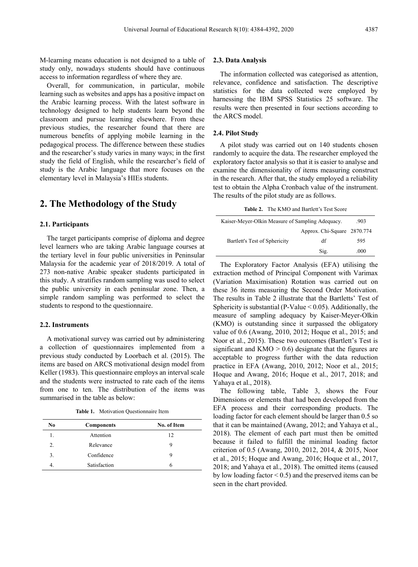M-learning means education is not designed to a table of study only, nowadays students should have continuous access to information regardless of where they are.

Overall, for communication, in particular, mobile learning such as websites and apps has a positive impact on the Arabic learning process. With the latest software in technology designed to help students learn beyond the classroom and pursue learning elsewhere. From these previous studies, the researcher found that there are numerous benefits of applying mobile learning in the pedagogical process. The difference between these studies and the researcher's study varies in many ways; in the first study the field of English, while the researcher's field of study is the Arabic language that more focuses on the elementary level in Malaysia's HIEs students.

# **2. The Methodology of the Study**

#### **2.1. Participants**

The target participants comprise of diploma and degree level learners who are taking Arabic language courses at the tertiary level in four public universities in Peninsular Malaysia for the academic year of 2018/2019. A total of 273 non-native Arabic speaker students participated in this study. A stratifies random sampling was used to select the public university in each peninsular zone. Then, a simple random sampling was performed to select the students to respond to the questionnaire.

#### **2.2. Instruments**

A motivational survey was carried out by administering a collection of questionnaires implemented from a previous study conducted by Loorbach et al. (2015). The items are based on ARCS motivational design model from Keller (1983). This questionnaire employs an interval scale and the students were instructed to rate each of the items from one to ten. The distribution of the items was summarised in the table as below:

**Table 1.** Motivation Questionnaire Item

| No | <b>Components</b> | No. of Item |
|----|-------------------|-------------|
|    | Attention         | 12          |
| 2. | Relevance         | 9           |
| 3. | Confidence        | 9           |
|    | Satisfaction      | h           |

## **2.3. Data Analysis**

The information collected was categorised as attention, relevance, confidence and satisfaction. The descriptive statistics for the data collected were employed by harnessing the IBM SPSS Statistics 25 software. The results were then presented in four sections according to the ARCS model.

## **2.4. Pilot Study**

A pilot study was carried out on 140 students chosen randomly to acquire the data. The researcher employed the exploratory factor analysis so that it is easier to analyse and examine the dimensionality of items measuring construct in the research. After that, the study employed a reliability test to obtain the Alpha Cronbach value of the instrument. The results of the pilot study are as follows.

**Table 2.** The KMO and Bartlett's Test Score

| Kaiser-Meyer-Olkin Measure of Sampling Adequacy. | .903                        |      |
|--------------------------------------------------|-----------------------------|------|
|                                                  | Approx. Chi-Square 2870.774 |      |
| Bartlett's Test of Sphericity                    | df                          | 595  |
|                                                  | Sig.                        | .000 |

The Exploratory Factor Analysis (EFA) utilising the extraction method of Principal Component with Varimax (Variation Maximisation) Rotation was carried out on these 36 items measuring the Second Order Motivation. The results in Table 2 illustrate that the Bartletts' Test of Sphericity is substantial (P-Value  $< 0.05$ ). Additionally, the measure of sampling adequacy by Kaiser-Meyer-Olkin (KMO) is outstanding since it surpassed the obligatory value of 0.6 (Awang, 2010, 2012; Hoque et al., 2015; and Noor et al., 2015). These two outcomes (Bartlett's Test is significant and  $KMO > 0.6$ ) designate that the figures are acceptable to progress further with the data reduction practice in EFA (Awang, 2010, 2012; Noor et al., 2015; Hoque and Awang, 2016; Hoque et al., 2017, 2018; and Yahaya et al., 2018).

The following table, Table 3, shows the Four Dimensions or elements that had been developed from the EFA process and their corresponding products. The loading factor for each element should be larger than 0.5 so that it can be maintained (Awang, 2012; and Yahaya et al., 2018). The element of each part must then be omitted because it failed to fulfill the minimal loading factor criterion of 0.5 (Awang, 2010, 2012, 2014, & 2015, Noor et al., 2015; Hoque and Awang, 2016; Hoque et al., 2017, 2018; and Yahaya et al., 2018). The omitted items (caused by low loading factor  $\leq$  0.5) and the preserved items can be seen in the chart provided.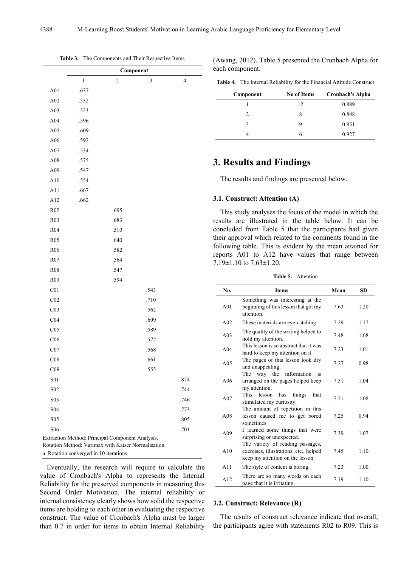|                                         |         | Component                                                                                               |      |                |  |
|-----------------------------------------|---------|---------------------------------------------------------------------------------------------------------|------|----------------|--|
|                                         | $\,1\,$ | $\overline{\mathbf{c}}$                                                                                 | 3    | $\overline{4}$ |  |
| A01                                     | .637    |                                                                                                         |      |                |  |
| A02                                     | .532    |                                                                                                         |      |                |  |
| A03                                     | .523    |                                                                                                         |      |                |  |
| A04                                     | .596    |                                                                                                         |      |                |  |
| A05                                     | .609    |                                                                                                         |      |                |  |
| A06                                     | .592    |                                                                                                         |      |                |  |
| A07                                     | .534    |                                                                                                         |      |                |  |
| A08                                     | .575    |                                                                                                         |      |                |  |
| A09                                     | .547    |                                                                                                         |      |                |  |
| A10                                     | .554    |                                                                                                         |      |                |  |
| A11                                     | .667    |                                                                                                         |      |                |  |
| A12                                     | .662    |                                                                                                         |      |                |  |
| R02                                     |         | .695                                                                                                    |      |                |  |
| R03                                     |         | .683                                                                                                    |      |                |  |
| R04                                     |         | .510                                                                                                    |      |                |  |
| R <sub>05</sub>                         |         | .640                                                                                                    |      |                |  |
| R <sub>06</sub>                         |         | .582                                                                                                    |      |                |  |
| R07                                     |         | .564                                                                                                    |      |                |  |
| R08                                     |         | .547                                                                                                    |      |                |  |
| R <sub>09</sub>                         |         | .594                                                                                                    |      |                |  |
| C <sub>01</sub>                         |         |                                                                                                         | .543 |                |  |
| CO <sub>2</sub>                         |         |                                                                                                         | .710 |                |  |
| CO <sub>3</sub>                         |         |                                                                                                         | .562 |                |  |
| C <sub>04</sub>                         |         |                                                                                                         | .609 |                |  |
| C <sub>05</sub>                         |         |                                                                                                         | .589 |                |  |
| C <sub>06</sub>                         |         |                                                                                                         | .572 |                |  |
| CO7                                     |         |                                                                                                         | .568 |                |  |
| C <sub>08</sub>                         |         |                                                                                                         | .661 |                |  |
| C <sub>09</sub>                         |         |                                                                                                         | .555 |                |  |
| S01                                     |         |                                                                                                         |      | .874           |  |
| S <sub>02</sub>                         |         |                                                                                                         |      | .744           |  |
| S03                                     |         |                                                                                                         |      | .746           |  |
| S04                                     |         |                                                                                                         |      | .773           |  |
| S05                                     |         |                                                                                                         |      | .805           |  |
| S <sub>06</sub>                         |         |                                                                                                         |      | .701           |  |
|                                         |         | Extraction Method: Principal Component Analysis.<br>Rotation Method: Varimax with Kaiser Normalisation. |      |                |  |
| a. Rotation converged in 10 iterations. |         |                                                                                                         |      |                |  |

**Table 3.** The Components and Their Respective Items

(Awang, 2012). Table 5 presented the Cronbach Alpha for each component.

| <b>Table 4.</b> The Internal Reliability for the Financial Attitude Construct |  |
|-------------------------------------------------------------------------------|--|
|-------------------------------------------------------------------------------|--|

| Component | <b>No of Items</b> | <b>Cronbach's Alpha</b> |
|-----------|--------------------|-------------------------|
|           | 12                 | 0.889                   |
|           | 8                  | 0.848                   |
| ٩         |                    | 0.851                   |
|           | h                  | 0.927                   |

# **3. Results and Findings**

The results and findings are presented below.

## **3.1. Construct: Attention (A)**

This study analyses the focus of the model in which the results are illustrated in the table below. It can be concluded from Table 5 that the participants had given their approval which related to the comments found in the following table. This is evident by the mean attained for reports A01 to A12 have values that range between  $7.19\pm1.10$  to  $7.63\pm1.20$ .

**Table 5.** Attention

| No.             | <b>Items</b>                                                                                                   | Mean | SD   |
|-----------------|----------------------------------------------------------------------------------------------------------------|------|------|
| A <sub>01</sub> | Something was interesting at the<br>beginning of this lesson that got my<br>attention                          | 7.63 | 1.20 |
| A <sub>02</sub> | These materials are eye-catching.                                                                              | 7.29 | 1.17 |
| A <sub>03</sub> | The quality of the writing helped to<br>hold my attention.                                                     | 7.48 | 1.08 |
| A <sub>04</sub> | This lesson is so abstract that it was<br>hard to keep my attention on it                                      | 7.23 | 1.01 |
| A <sub>05</sub> | The pages of this lesson look dry<br>and unappealing.                                                          | 7.27 | 0.98 |
| A <sub>06</sub> | The<br>way the information<br>is<br>arranged on the pages helped keep<br>my attention.                         | 7.51 | 1.04 |
| A <sub>07</sub> | lesson<br>things<br><b>This</b><br>has<br>that<br>stimulated my curiosity.                                     | 7.21 | 1.08 |
| A <sub>08</sub> | The amount of repetition in this<br>lesson caused me to get bored<br>sometimes.                                | 7.25 | 0.94 |
| A <sub>09</sub> | I learned some things that were<br>surprising or unexpected.                                                   | 7.39 | 1.07 |
| A10             | The variety of reading passages,<br>exercises, illustrations, etc., helped<br>keep my attention on the lesson. | 745  | 1.10 |
| A11             | The style of content is boring.                                                                                | 7.23 | 1.00 |
| A12             | There are so many words on each<br>page that it is irritating.                                                 | 7.19 | 1.10 |

Eventually, the research will require to calculate the value of Cronbach's Alpha to represents the Internal Reliability for the preserved components in measuring this Second Order Motivation. The internal reliability or internal consistency clearly shows how solid the respective items are holding to each other in evaluating the respective construct. The value of Cronbach's Alpha must be larger than 0.7 in order for items to obtain Internal Reliability

## **3.2. Construct: Relevance (R)**

The results of construct relevance indicate that overall, the participants agree with statements R02 to R09. This is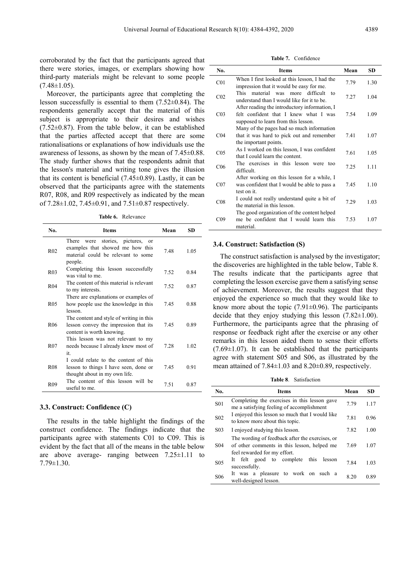corroborated by the fact that the participants agreed that there were stories, images, or exemplars showing how third-party materials might be relevant to some people  $(7.48 \pm 1.05)$ .

Moreover, the participants agree that completing the lesson successfully is essential to them (7.52±0.84). The respondents generally accept that the material of this subject is appropriate to their desires and wishes  $(7.52\pm0.87)$ . From the table below, it can be established that the parties affected accept that there are some rationalisations or explanations of how individuals use the awareness of lessons, as shown by the mean of 7.45±0.88. The study further shows that the respondents admit that the lesson's material and writing tone gives the illusion that its content is beneficial  $(7.45\pm0.89)$ . Lastly, it can be observed that the participants agree with the statements R07, R08, and R09 respectively as indicated by the mean of 7.28±1.02, 7.45±0.91, and 7.51±0.87 respectively.

**Table 6.** Relevance

| No.             | <b>Items</b>                                                                                                                | Mean | <b>SD</b> |
|-----------------|-----------------------------------------------------------------------------------------------------------------------------|------|-----------|
| R <sub>02</sub> | stories, pictures,<br>There were<br>or<br>examples that showed me how this<br>material could be relevant to some<br>people. | 7.48 | 1.05      |
| R <sub>03</sub> | Completing this lesson successfully<br>was vital to me                                                                      | 7.52 | 0.84      |
| R <sub>04</sub> | The content of this material is relevant<br>to my interests.                                                                | 7.52 | 0.87      |
| R <sub>05</sub> | There are explanations or examples of<br>how people use the knowledge in this<br>lesson.                                    | 745  | 0.88      |
| R <sub>06</sub> | The content and style of writing in this<br>lesson convey the impression that its<br>content is worth knowing.              | 7.45 | 0.89      |
| R <sub>07</sub> | This lesson was not relevant to my<br>needs because I already knew most of<br>it                                            | 7.28 | 1.02      |
| R <sub>08</sub> | I could relate to the content of this<br>lesson to things I have seen, done or<br>thought about in my own life.             | 745  | 0.91      |
| R <sub>09</sub> | The content of this lesson will be<br>useful to me.                                                                         | 7.51 | 0.87      |

#### **3.3. Construct: Confidence (C)**

The results in the table highlight the findings of the construct confidence. The findings indicate that the participants agree with statements C01 to C09. This is evident by the fact that all of the means in the table below are above average- ranging between 7.25±1.11 to 7.79±1.30.

| Table 7.<br>Confidence |
|------------------------|
|------------------------|

| No.             | <b>Items</b>                                                                                                                  | Mean | <b>SD</b> |
|-----------------|-------------------------------------------------------------------------------------------------------------------------------|------|-----------|
| C <sub>01</sub> | When I first looked at this lesson, I had the<br>impression that it would be easy for me.                                     | 7.79 | 1.30      |
| CO <sub>2</sub> | This material was more<br>difficult<br>to<br>understand than I would like for it to be.                                       | 7.27 | 1.04      |
| CO <sub>3</sub> | After reading the introductory information, I<br>felt confident that I knew what I was<br>supposed to learn from this lesson. | 7.54 | 1.09      |
| CO <sub>4</sub> | Many of the pages had so much information<br>that it was hard to pick out and remember<br>the important points.               | 7.41 | 1.07      |
| CO <sub>5</sub> | As I worked on this lesson, I was confident<br>that I could learn the content.                                                | 7.61 | 1.05      |
| C <sub>06</sub> | The exercises in this lesson were too<br>difficult.                                                                           | 7.25 | 1.11      |
| CO <sub>7</sub> | After working on this lesson for a while, I<br>was confident that I would be able to pass a<br>test on it.                    | 7.45 | 1.10      |
| CO8             | I could not really understand quite a bit of<br>the material in this lesson.                                                  | 7.29 | 1.03      |
| CO9             | The good organization of the content helped<br>me be confident that I would learn this<br>material.                           | 7.53 | 1.07      |

#### **3.4. Construct: Satisfaction (S)**

The construct satisfaction is analysed by the investigator; the discoveries are highlighted in the table below, Table 8. The results indicate that the participants agree that completing the lesson exercise gave them a satisfying sense of achievement. Moreover, the results suggest that they enjoyed the experience so much that they would like to know more about the topic  $(7.91\pm0.96)$ . The participants decide that they enjoy studying this lesson  $(7.82 \pm 1.00)$ . Furthermore, the participants agree that the phrasing of response or feedback right after the exercise or any other remarks in this lesson aided them to sense their efforts  $(7.69\pm1.07)$ . It can be established that the participants agree with statement S05 and S06, as illustrated by the mean attained of 7.84±1.03 and 8.20±0.89, respectively.

**Table 8**. Satisfaction

| No.              | <b>Items</b>                                                                                                                   | Mean | SD.  |
|------------------|--------------------------------------------------------------------------------------------------------------------------------|------|------|
| S <sub>0</sub> 1 | Completing the exercises in this lesson gave<br>me a satisfying feeling of accomplishment                                      |      | 1.17 |
| S <sub>0</sub> 2 | I enjoyed this lesson so much that I would like<br>to know more about this topic.                                              |      | 0.96 |
| S <sub>03</sub>  | I enjoyed studying this lesson.                                                                                                | 7.82 | 1.00 |
| S <sub>04</sub>  | The wording of feedback after the exercises, or<br>of other comments in this lesson, helped me<br>feel rewarded for my effort. | 7.69 | 1.07 |
| S <sub>05</sub>  | complete<br>this<br>felt good to<br>lesson<br>It<br>successfully.                                                              | 7.84 | 1.03 |
| S <sub>06</sub>  | It was a pleasure to work on<br>such a<br>well-designed lesson.                                                                | 8 20 | 0.89 |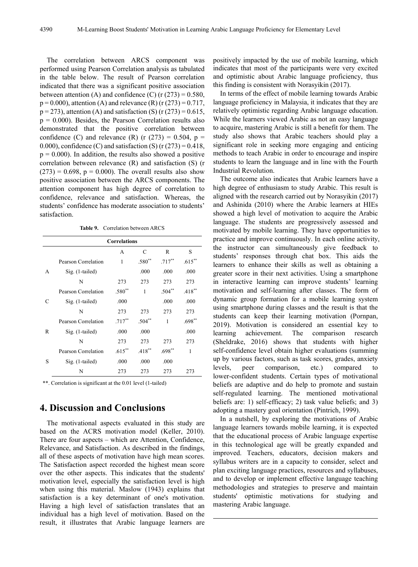The correlation between ARCS component was performed using Pearson Correlation analysis as tabulated in the table below. The result of Pearson correlation indicated that there was a significant positive association between attention (A) and confidence (C) ( $r(273) = 0.580$ ,  $p = 0.000$ ), attention (A) and relevance (R) (r (273) = 0.717,  $p = 273$ ), attention (A) and satisfaction (S) (r (273) = 0.615,  $p = 0.000$ . Besides, the Pearson Correlation results also demonstrated that the positive correlation between confidence (C) and relevance (R) (r  $(273) = 0.504$ , p = 0.000), confidence (C) and satisfaction (S) (r  $(273) = 0.418$ ,  $p = 0.000$ ). In addition, the results also showed a positive correlation between relevance (R) and satisfaction (S) (r  $(273) = 0.698$ ,  $p = 0.000$ . The overall results also show positive association between the ARCS components. The attention component has high degree of correlation to confidence, relevance and satisfaction. Whereas, the students' confidence has moderate association to students' satisfaction.

**Table 9.** Correlation between ARCS

| <b>Correlations</b> |                     |           |          |           |           |  |
|---------------------|---------------------|-----------|----------|-----------|-----------|--|
|                     |                     | A         | C        | R         | S         |  |
|                     | Pearson Correlation | 1         | $.580**$ | $.717***$ | $.615***$ |  |
| A                   | Sig. (1-tailed)     |           | .000     | .000      | .000      |  |
|                     | N                   | 273       | 273      | 273       | 273       |  |
|                     | Pearson Correlation | .580**    | 1        | $.504**$  | $.418***$ |  |
| C                   | Sig. (1-tailed)     | .000      |          | .000      | .000      |  |
|                     | N                   | 273       | 273      | 273       | 273       |  |
|                     | Pearson Correlation | $.717**$  | $.504**$ | 1         | $.698**$  |  |
| R                   | Sig. (1-tailed)     | .000      | .000     |           | .000      |  |
|                     | N                   | 273       | 273      | 273       | 273       |  |
|                     | Pearson Correlation | $.615***$ | $.418**$ | $.698**$  | 1         |  |
| S                   | Sig. (1-tailed)     | .000      | .000     | .000      |           |  |
|                     | N                   | 273       | 273      | 273       | 273       |  |

\*\*. Correlation is significant at the 0.01 level (1-tailed)

# **4. Discussion and Conclusions**

The motivational aspects evaluated in this study are based on the ACRS motivation model (Keller, 2010). There are four aspects – which are Attention, Confidence, Relevance, and Satisfaction. As described in the findings, all of these aspects of motivation have high mean scores. The Satisfaction aspect recorded the highest mean score over the other aspects. This indicates that the students' motivation level, especially the satisfaction level is high when using this material. Maslow (1943) explains that satisfaction is a key determinant of one's motivation. Having a high level of satisfaction translates that an individual has a high level of motivation. Based on the result, it illustrates that Arabic language learners are

positively impacted by the use of mobile learning, which indicates that most of the participants were very excited and optimistic about Arabic language proficiency, thus this finding is consistent with Norasyikin (2017).

In terms of the effect of mobile learning towards Arabic language proficiency in Malaysia, it indicates that they are relatively optimistic regarding Arabic language education. While the learners viewed Arabic as not an easy language to acquire, mastering Arabic is still a benefit for them. The study also shows that Arabic teachers should play a significant role in seeking more engaging and enticing methods to teach Arabic in order to encourage and inspire students to learn the language and in line with the Fourth Industrial Revolution.

The outcome also indicates that Arabic learners have a high degree of enthusiasm to study Arabic. This result is aligned with the research carried out by Norasyikin (2017) and Ashinida (2010) where the Arabic learners at HIEs showed a high level of motivation to acquire the Arabic language. The students are progressively assessed and motivated by mobile learning. They have opportunities to practice and improve continuously. In each online activity, the instructor can simultaneously give feedback to students' responses through chat box. This aids the learners to enhance their skills as well as obtaining a greater score in their next activities. Using a smartphone in interactive learning can improve students' learning motivation and self-learning after classes. The form of dynamic group formation for a mobile learning system using smartphone during classes and the result is that the students can keep their learning motivation (Pornpan, 2019). Motivation is considered an essential key to learning achievement. The comparison research (Sheldrake, 2016) shows that students with higher self-confidence level obtain higher evaluations (summing up by various factors, such as task scores, grades, anxiety levels, peer comparison, etc.) compared to lower-confident students. Certain types of motivational beliefs are adaptive and do help to promote and sustain self-regulated learning. The mentioned motivational beliefs are: 1) self-efficacy; 2) task value beliefs; and 3) adopting a mastery goal orientation (Pintrich, 1999).

In a nutshell, by exploring the motivations of Arabic language learners towards mobile learning, it is expected that the educational process of Arabic language expertise in this technological age will be greatly expanded and improved. Teachers, educators, decision makers and syllabus writers are in a capacity to consider, select and plan exciting language practices, resources and syllabuses, and to develop or implement effective language teaching methodologies and strategies to preserve and maintain students' optimistic motivations for studying and mastering Arabic language.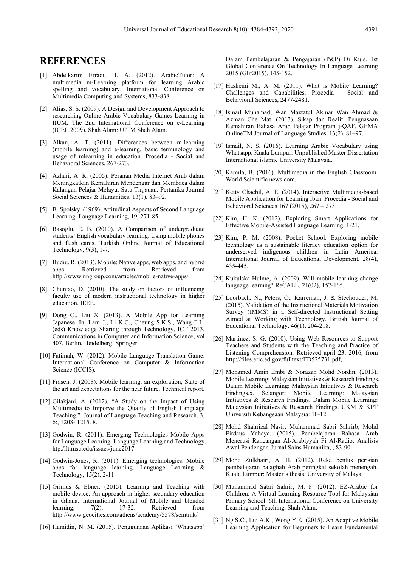## **REFERENCES**

- [1] Abdelkarim Erradi, H. A. (2012). ArabicTutor: A multimedia m-Learning platform for learning Arabic spelling and vocabulary. International Conference on Multimedia Computing and Systems, 833-838.
- [2] Alias, S. S. (2009). A Design and Development Approach to researching Online Arabic Vocabulary Games Learning in IIUM. The 2nd International Conference on e-Learning (ICEL 2009). Shah Alam: UITM Shah Alam.
- [3] Alkan, A. T. (2011). Differences between m-learning (mobile learning) and e-learning, basic terminology and usage of mlearning in education. Procedia - Social and Behavioral Sciences, 267-273.
- [4] Azhari, A. R. (2005). Peranan Media Internet Arab dalam Meningkatkan Kemahiran Mendengar dan Membaca dalam Kalangan Pelajar Melayu: Satu Tinjauan. Pertanika Journal Social Sciences & Humanities, 13(1), 83–92.
- [5] B. Spolsky. (1969). Attitudinal Aspects of Second Language Learning. Language Learning, 19, 271-85.
- [6] Basoglu, E. B. (2010). A Comparison of undergraduate students' English vocabulary learning: Using mobile phones and flash cards. Turkish Online Journal of Educational Technology, 9(3), 1-7.
- [7] Budiu, R. (2013). Mobile: Native apps, web apps, and hybrid apps. Retrieved from Retrieved from http://www.nngroup.com/articles/mobile-native-apps/
- [8] Chuntao, D. (2010). The study on factors of influencing faculty use of modern instructional technology in higher education. IEEE.
- [9] Dong C., Liu X. (2013). A Mobile App for Learning Japanese. In: Lam J., Li K.C., Cheung S.K.S., Wang F.L. (eds) Knowledge Sharing through Technology. ICT 2013. Communications in Computer and Information Science, vol 407. Berlin, Heidelberg: Springer.
- [10] Fatimah, W. (2012). Mobile Language Translation Game. International Conference on Computer & Information Science (ICCIS).
- [11] Frasen, J. (2008). Mobile learning: an exploration; State of the art and expectations for the near future. Technical report.
- [12] Gilakjani, A. (2012). "A Study on the Impact of Using Multimedia to Imporve the Quality of English Language Teaching.". Journal of Language Teaching and Research. 3, 6:, 1208- 1215. 8.
- [13] Godwin, R. (2011). Emerging Technologies Mobile Apps for Language Learning. Language Learning and Technology. htp:/llt.msu.edu/issues/june2017.
- [14] Godwin-Jones, R. (2011). Emerging technologies: Mobile apps for language learning. Language Learning & Technology, 15(2), 2-11.
- [15] Grimus & Ebner. (2015). Learning and Teaching with mobile device: An approach in higher secondary education in Ghana. International Journal of Mobile and blended learning, 7(2), 17-32. Retrieved from http://www.geocities.com/athens/academy/5578/semtmk/
- [16] Hamidin, N. M. (2015). Penggunaan Aplikasi 'Whatsapp'

Dalam Pembelajaran & Pengajaran (P&P) Di Kuis. 1st Global Conference On Technology In Language Learning 2015 (Glit2015), 145-152.

- [17] Hashemi M., A. M. (2011). What is Mobile Learning? Challenges and Capabilities. Procedia - Social and Behavioral Sciences, 2477-2481.
- [18] Ismail Muhamad, Wan Maizatul Akmar Wan Ahmad & Azman Che Mat. (2013). Sikap dan Realiti Penguasaan Kemahiran Bahasa Arab Pelajar Program j-QAF. GEMA OnlineTM Journal of Language Studies, 13(2), 81–97.
- [19] Ismail, N. S. (2016). Learning Arabic Vocabulary using Whatsapp. Kuala Lumpur: Unpublished Master Dissertation International islamic University Malaysia.
- [20] Kamila, B. (2016). Multimedia in the English Classroom. World Scientific news.com.
- [21] Ketty Chachil, A. E. (2014). Interactive Multimedia-based Mobile Application for Learning Iban. Procedia - Social and Behavioral Sciences 167 (2015), 267 – 273.
- [22] Kim, H. K. (2012). Exploring Smart Applications for Effective Mobile-Assisted Language Learning, 1-21.
- [23] Kim, P. M. (2008). Pocket School: Exploring mobile technology as a sustainable literacy education option for underserved indigenous children in Latin America. International Journal of Educational Development, 28(4), 435-445.
- [24] Kukulska-Hulme, A. (2009). Will mobile learning change language learning? ReCALL, 21(02), 157-165.
- [25] Loorbach, N., Peters, O., Karreman, J. & Steehouder, M. (2015). Validation of the Instructional Materials Motivation Survey (IMMS) in a Self-directed Instructional Setting Aimed at Working with Technology. British Journal of Educational Technology, 46(1), 204-218.
- [26] Martinez, S. G. (2010). Using Web Resources to Support Teachers and Students with the Teaching and Practice of Listening Comprehension. Retrieved april 23, 2016, from http://files.eric.ed.gov/fulltext/ED525731.pdf,
- [27] Mohamed Amin Embi & Norazah Mohd Nordin. (2013). Mobile Learning: Malaysian Initiatives & Research Findings. Dalam Mobile Learning: Malaysian Initiatives & Research Findings.x. Selangor: Mobile Learning: Malaysian Initiatives & Research Findings. Dalam Mobile Learning: Malaysian Initiatives & Research Findings. UKM & KPT Universiti Kebangsaan Malaysia: 10-12.
- [28] Mohd Shahrizal Nasir, Muhammad Sabri Sahrirb, Mohd Firdaus Yahaya. (2015). Pembelajaran Bahasa Arab Menerusi Rancangan Al-Arabiyyah Fi Al-Radio: Analisis Awal Pendengar. Jurnal Sains Humanika, , 83-90.
- [29] Mohd Zulkhairi, A. H. (2012). Reka bentuk perisian pembelajaran balaghah Arab peringkat sekolah menengah. Kuala Lumpur: Master's thesis, University of Malaya.
- [30] Muhammad Sabri Sahrir, M. F. (2012). EZ-Arabic for Children: A Virtual Learning Resource Tool for Malaysian Primary School. 6th International Conference on University Learning and Teaching. Shah Alam.
- [31] Ng S.C., Lui A.K., Wong Y.K. (2015). An Adaptive Mobile Learning Application for Beginners to Learn Fundamental